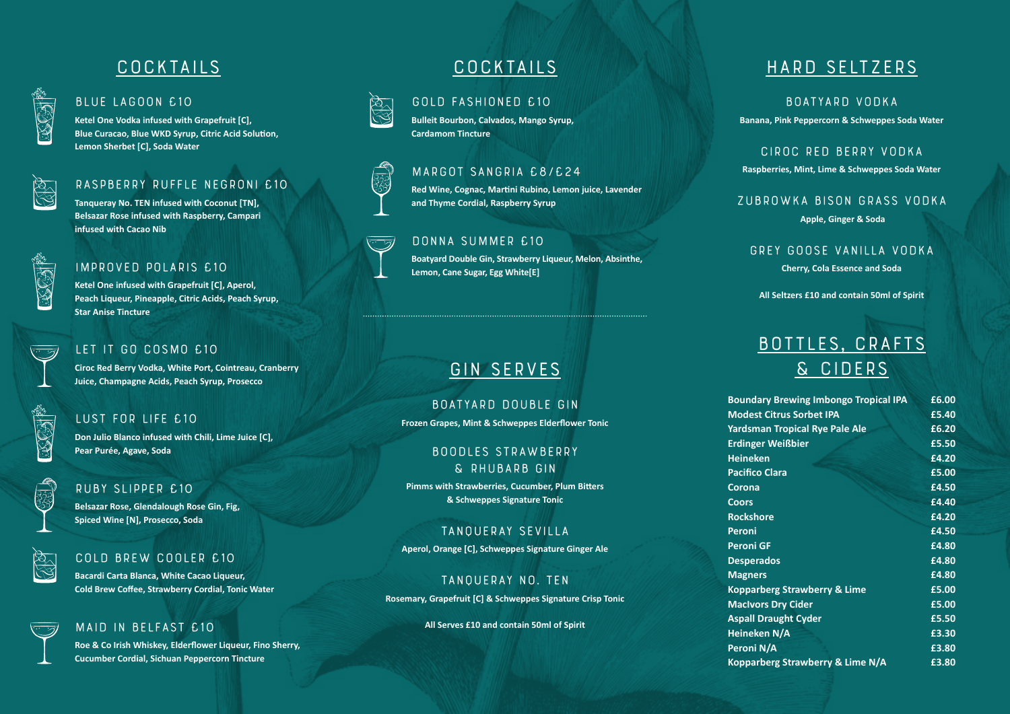# **COCKTAILS**



#### **Blue Lagoon £10**

**Ketel One Vodka infused with Grapefruit [C], Blue Curacao, Blue WKD Syrup, Citric Acid Solution, Lemon Sherbet [C], Soda Water**



## **Raspberry Ruffle Negroni £10**

**Tanqueray No. TEN infused with Coconut [TN], Belsazar Rose infused with Raspberry, Campari infused with Cacao Nib**

| Ļ |
|---|
|   |
|   |
|   |
|   |
|   |
|   |

## **Improved Polaris £10**

**Ketel One infused with Grapefruit [C], Aperol, Peach Liqueur, Pineapple, Citric Acids, Peach Syrup, Star Anise Tincture**



## **Let it go Cosmo £10**

**Ciroc Red Berry Vodka, White Port, Cointreau, Cranberry Juice, Champagne Acids, Peach Syrup, Prosecco**

#### **Lust for Life £10**

**Don Julio Blanco infused with Chili, Lime Juice [C], Pear Purée, Agave, Soda**

#### **Ruby Slipper £10**

**Belsazar Rose, Glendalough Rose Gin, Fig, Spiced Wine [N], Prosecco, Soda**

### **Cold Brew Cooler £10**

**Bacardi Carta Blanca, White Cacao Liqueur, Cold Brew Coffee, Strawberry Cordial, Tonic Water**

## **Maid In Belfast £10**

**Roe & Co Irish Whiskey, Elderflower Liqueur, Fino Sherry, Cucumber Cordial, Sichuan Peppercorn Tincture**

# **COCKTAILS**



## **Gold Fashioned £10**

**Bulleit Bourbon, Calvados, Mango Syrup, Cardamom Tincture**

## **Margot Sangria £8/£24**

**Red Wine, Cognac, Martini Rubino, Lemon juice, Lavender and Thyme Cordial, Raspberry Syrup**

#### **Donna Summer £10**

**Boatyard Double Gin, Strawberry Liqueur, Melon, Absinthe, Lemon, Cane Sugar, Egg White[E]**

# **GIN SERVES**

**Boatyard Double Gin Frozen Grapes, Mint & Schweppes Elderflower Tonic**

### **Boodles Strawberry & Rhubarb Gin**

**Pimms with Strawberries, Cucumber, Plum Bitters & Schweppes Signature Tonic**

# **Tanqueray Sevilla**

**Aperol, Orange [C], Schweppes Signature Ginger Ale**

**Tanqueray No. TEN Rosemary, Grapefruit [C] & Schweppes Signature Crisp Tonic**

**All Serves £10 and contain 50ml of Spirit**

# **Hard Seltzers**

**Boatyard Vodka Banana, Pink Peppercorn & Schweppes Soda Water**

**Ciroc Red Berry Vodka Raspberries, Mint, Lime & Schweppes Soda Water**

**Zubrowka Bison Grass Vodka Apple, Ginger & Soda**

**Grey Goose Vanilla Vodka Cherry, Cola Essence and Soda**

**All Seltzers £10 and contain 50ml of Spirit**

# **Bottles, Crafts & Ciders**

| £6.00 |
|-------|
| £5.40 |
| £6.20 |
| £5.50 |
| £4.20 |
| £5.00 |
| £4.50 |
| £4.40 |
| £4.20 |
| £4.50 |
| £4.80 |
| £4.80 |
| £4.80 |
| £5.00 |
| £5.00 |
| £5.50 |
| £3.30 |
| £3.80 |
| £3.80 |
|       |